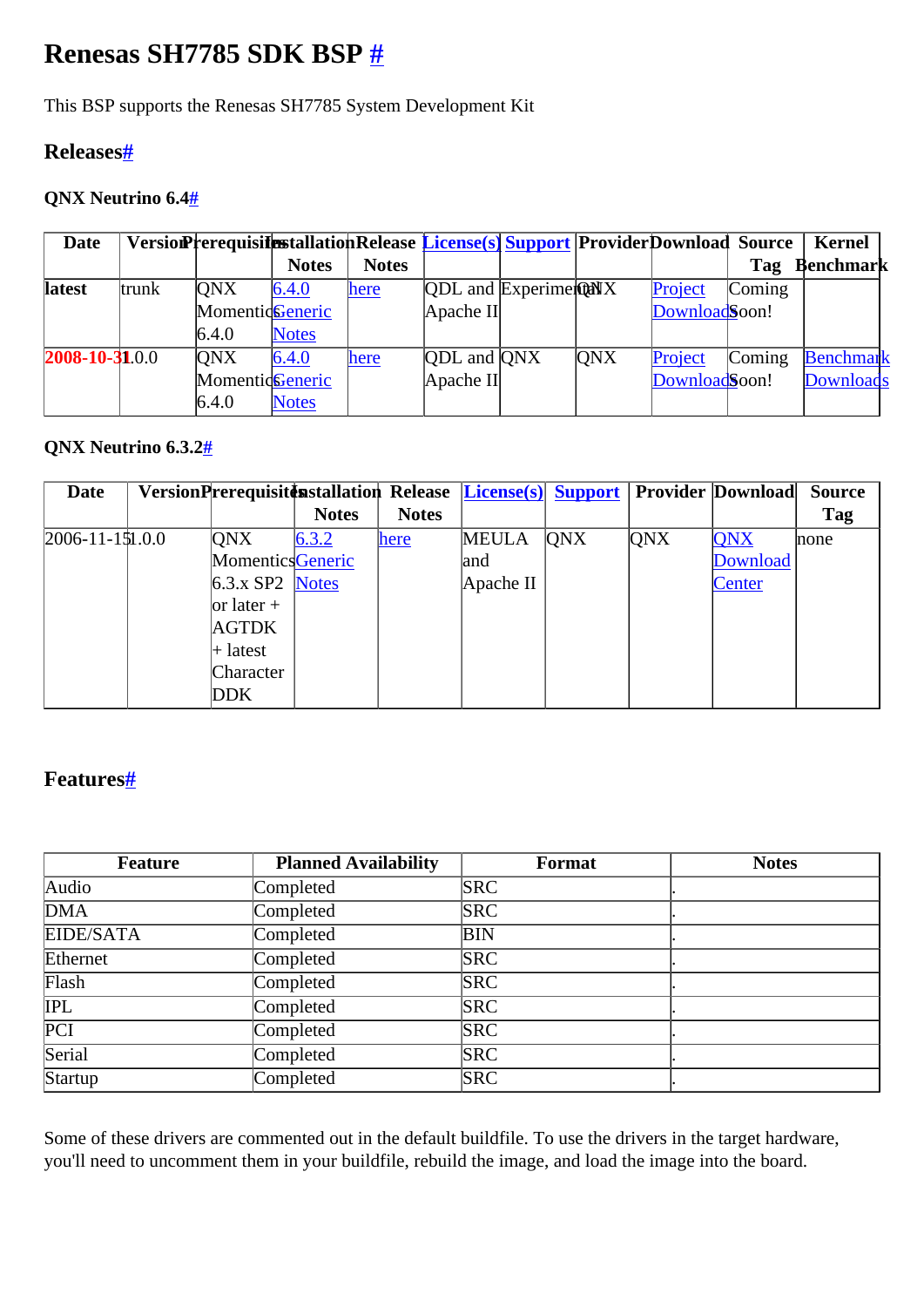# <span id="page-0-0"></span>**Renesas SH7785 SDK BSP [#](#page-0-0)**

This BSP supports the Renesas SH7785 System Development Kit

### <span id="page-0-1"></span>**Release[s#](#page-0-1)**

### <span id="page-0-2"></span>**QNX Neutrino 6.[4#](#page-0-2)**

| <b>Date</b>          |       | VersionPrerequisitestallationRelease License(s) Support ProviderDownload Source |              |              |                           |                               |            |               |        | <b>Kernel</b>    |
|----------------------|-------|---------------------------------------------------------------------------------|--------------|--------------|---------------------------|-------------------------------|------------|---------------|--------|------------------|
|                      |       |                                                                                 | <b>Notes</b> | <b>Notes</b> |                           |                               |            |               | Tag    | <b>Benchmark</b> |
| <b>latest</b>        | trunk | <b>ONX</b>                                                                      | 6.4.0        | here         |                           | $[QDL$ and $[ExperimentQANX]$ |            | Project       | Coming |                  |
|                      |       | MomenticGeneric                                                                 |              |              | Apache II                 |                               |            | DownloadSoon! |        |                  |
|                      |       | 6.4.0                                                                           | <b>Notes</b> |              |                           |                               |            |               |        |                  |
| $2008 - 10 - 31.0.0$ |       | <b>ONX</b>                                                                      | 6.4.0        | here         | <b>QDL</b> and <b>QNX</b> |                               | <b>ONX</b> | Project       | Coming | Benchmark        |
|                      |       | MomenticGeneric                                                                 |              |              | Apache II                 |                               |            | DownloadSoon! |        | Downloads        |
|                      |       | 6.4.0                                                                           | <b>Notes</b> |              |                           |                               |            |               |        |                  |

#### <span id="page-0-3"></span>**QNX Neutrino 6.3.[2#](#page-0-3)**

| <b>Date</b>            |                   |              |              | VersionPrerequisitenstallation Release License(s) Support Provider Download |            |            |            | <b>Source</b> |
|------------------------|-------------------|--------------|--------------|-----------------------------------------------------------------------------|------------|------------|------------|---------------|
|                        |                   | <b>Notes</b> | <b>Notes</b> |                                                                             |            |            |            | Tag           |
| $[2006 - 11 - 151.00]$ | <b>ONX</b>        | 6.3.2        | here         | <b>MEULA</b>                                                                | <b>QNX</b> | <b>QNX</b> | <b>QNX</b> | none          |
|                        | MomenticsGeneric  |              |              | and                                                                         |            |            | Download   |               |
|                        | $6.3.x$ SP2 Notes |              |              | Apache II                                                                   |            |            | Center     |               |
|                        | $ $ or later +    |              |              |                                                                             |            |            |            |               |
|                        | <b>AGTDK</b>      |              |              |                                                                             |            |            |            |               |
|                        | $+$ latest        |              |              |                                                                             |            |            |            |               |
|                        | Character         |              |              |                                                                             |            |            |            |               |
|                        | <b>DDK</b>        |              |              |                                                                             |            |            |            |               |

# <span id="page-0-4"></span>**Features[#](#page-0-4)**

| <b>Feature</b>   | <b>Planned Availability</b> | <b>Format</b> | <b>Notes</b> |
|------------------|-----------------------------|---------------|--------------|
| Audio            | Completed                   | <b>SRC</b>    |              |
| <b>DMA</b>       | Completed                   | <b>SRC</b>    |              |
| EIDE/SATA        | Completed                   | <b>BIN</b>    |              |
| Ethernet         | Completed                   | <b>SRC</b>    |              |
| Flash            | Completed                   | <b>SRC</b>    |              |
| <b>IPL</b>       | Completed                   | <b>SRC</b>    |              |
| $\overline{PCI}$ | Completed                   | <b>SRC</b>    |              |
| Serial           | Completed                   | <b>SRC</b>    |              |
| Startup          | Completed                   | <b>SRC</b>    |              |

Some of these drivers are commented out in the default buildfile. To use the drivers in the target hardware, you'll need to uncomment them in your buildfile, rebuild the image, and load the image into the board.